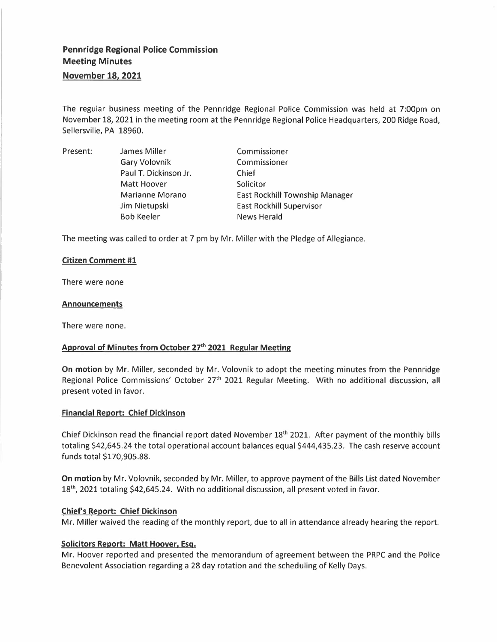# **Pennridge Regional Police Commission Meeting Minutes**

# **November 18, 2021**

The regular business meeting of the Pennridge Regional Police Commission was held at 7:00pm on November 18, 2021 in the meeting room at the Pennridge Regional Police Headquarters, 200 Ridge Road, Sellersville, PA 18960.

Present: James Miller Gary Volovnik Paul T. Dickinson Jr. Matt Hoover Marianne Morano Jim Nietupski Bob Keeler Commissioner Commissioner Chief Solicitor East Rockhill Township Manager East Rockhill Supervisor News Herald

The meeting was called to order at 7 pm by Mr. Miller with the Pledge of Allegiance.

#### **Citizen Comment #1**

There were none

#### **Announcements**

There were none.

# **Approval of Minutes from October 27 th 2021 Regular Meeting**

**On motion** by Mr. Miller, seconded by Mr. Volovnik to adopt the meeting minutes from the Pennridge Regional Police Commissions' October 27<sup>th</sup> 2021 Regular Meeting. With no additional discussion, all present voted in favor.

#### **Financial Report: Chief Dickinson**

Chief Dickinson read the financial report dated November 18<sup>th</sup> 2021. After payment of the monthly bills totaling \$42,645.24 the total operational account balances equal \$444,435.23. The cash reserve account funds total \$170,905.88.

**On motion** by Mr. Volovnik, seconded by Mr. Miller, to approve payment of the Bills List dated November 18<sup>th</sup>, 2021 totaling \$42,645.24. With no additional discussion, all present voted in favor.

#### **Chief's Report: Chief Dickinson**

Mr. Miller waived the reading of the monthly report, due to all in attendance already hearing the report.

#### **Solicitors Report: Matt Hoover, Esq.**

Mr. Hoover reported and presented the memorandum of agreement between the PRPC and the Police Benevolent Association regarding a 28 day rotation and the scheduling of Kelly Days.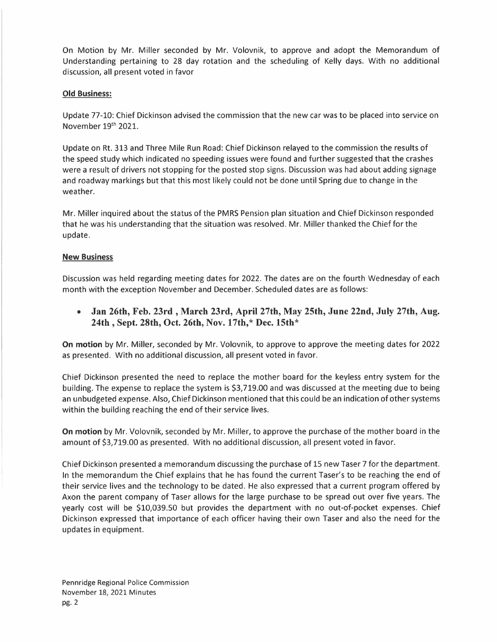On Motion by Mr. Miller seconded by Mr. Volovnik, to approve and adopt the Memorandum of Understanding pertaining to 28 day rotation and the scheduling of Kelly days. With no additional discussion, all present voted in favor

# **Old Business:**

Update 77-10: Chief Dickinson advised the commission that the new car was to be placed into service on November 19<sup>th</sup> 2021.

Update on Rt. 313 and Three Mile Run Road: Chief Dickinson relayed to the commission the results of the speed study which indicated no speeding issues were found and further suggested that the crashes were a result of drivers not stopping for the posted stop signs. Discussion was had about adding signage and roadway markings but that this most likely could not be done until Spring due to change in the weather.

Mr. Miller inquired about the status of the PMRS Pension plan situation and Chief Dickinson responded that he was his understanding that the situation was resolved. Mr. Miller thanked the Chief for the update.

# **New Business**

Discussion was held regarding meeting dates for 2022. The dates are on the fourth Wednesday of each month with the exception November and December. Scheduled dates are as follows:

**• Jan 26th, Feb. 23rd , March 23rd, April 27th, May 25th, June 22nd, July 27th, Aug. 24th , Sept. 28th, Oct. 26th, Nov. 17th,\* Dec. 15th\*** 

**On motion** by Mr. Miller, seconded by Mr. Volovnik, to approve to approve the meeting dates for 2022 as presented. With no additional discussion, all present voted in favor.

Chief Dickinson presented the need to replace the mother board for the keyless entry system for the building. The expense to replace the system is \$3,719.00 and was discussed at the meeting due to being an unbudgeted expense. Also, Chief Dickinson mentioned that this could be an indication of other systems within the building reaching the end of their service lives.

**On motion** by Mr. Volovnik, seconded by Mr. Miller, to approve the purchase of the mother board in the amount of \$3,719.00 as presented. With no additional discussion, all present voted in favor.

Chief Dickinson presented a memorandum discussing the purchase of 15 new Taser 7 for the department. In the memorandum the Chief explains that he has found the current Taser's to be reaching the end of their service lives and the technology to be dated. He also expressed that a current program offered by Axon the parent company of Taser allows for the large purchase to be spread out over five years. The yearly cost will be \$10,039.50 but provides the department with no out-of-pocket expenses. Chief Dickinson expressed that importance of each officer having their own Taser and also the need for the updates in equipment.